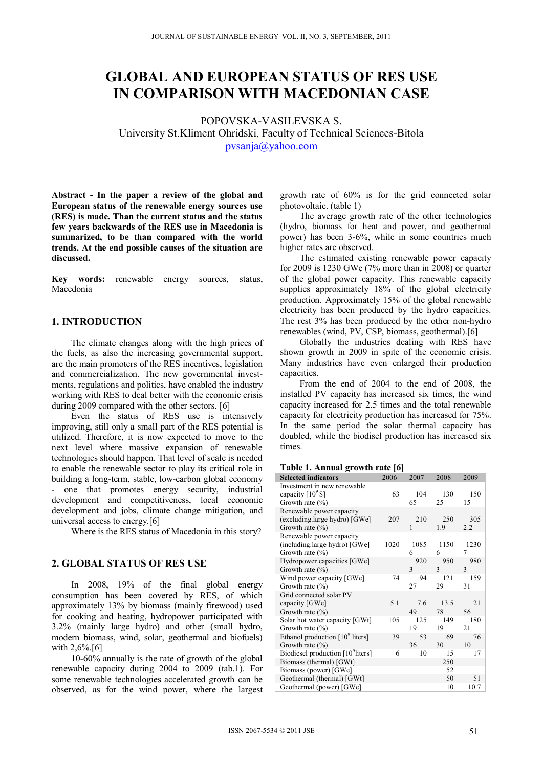# **GLOBAL AND EUROPEAN STATUS OF RES USE IN COMPARISON WITH MACEDONIAN CASE**

POPOVSKA-VASILEVSKA S. University St.Kliment Ohridski, Faculty of Technical Sciences-Bitola pvsanja@yahoo.com

**Abstract - In the paper a review of the global and European status of the renewable energy sources use (RES) is made. Than the current status and the status few years backwards of the RES use in Macedonia is summarized, to be than compared with the world trends. At the end possible causes of the situation are discussed.** 

**Key words:** renewable energy sources, status, Macedonia

#### **1. INTRODUCTION**

The climate changes along with the high prices of the fuels, as also the increasing governmental support, are the main promoters of the RES incentives, legislation and commercialization. The new governmental investments, regulations and politics, have enabled the industry working with RES to deal better with the economic crisis during 2009 compared with the other sectors. [6]

Even the status of RES use is intensively improving, still only a small part of the RES potential is utilized. Therefore, it is now expected to move to the next level where massive expansion of renewable technologies should happen. That level of scale is needed to enable the renewable sector to play its critical role in building a long-term, stable, low-carbon global economy - one that promotes energy security, industrial development and competitiveness, local economic development and jobs, climate change mitigation, and universal access to energy.[6]

Where is the RES status of Macedonia in this story?

#### **2. GLOBAL STATUS OF RES USE**

In 2008, 19% of the final global energy consumption has been covered by RES, of which approximately 13% by biomass (mainly firewood) used for cooking and heating, hydropower participated with 3.2% (mainly large hydro) and other (small hydro, modern biomass, wind, solar, geothermal and biofuels) with 2,6%.<sup>[6]</sup>

10-60% annually is the rate of growth of the global renewable capacity during 2004 to 2009 (tab.1). For some renewable technologies accelerated growth can be observed, as for the wind power, where the largest growth rate of 60% is for the grid connected solar photovoltaic. (table 1)

The average growth rate of the other technologies (hydro, biomass for heat and power, and geothermal power) has been 3-6%, while in some countries much higher rates are observed.

The estimated existing renewable power capacity for 2009 is 1230 GWe (7% more than in 2008) or quarter of the global power capacity. This renewable capacity supplies approximately 18% of the global electricity production. Approximately 15% of the global renewable electricity has been produced by the hydro capacities. The rest 3% has been produced by the other non-hydro renewables (wind, PV, CSP, biomass, geothermal).[6]

Globally the industries dealing with RES have shown growth in 2009 in spite of the economic crisis. Many industries have even enlarged their production capacities.

From the end of 2004 to the end of 2008, the installed PV capacity has increased six times, the wind capacity increased for 2.5 times and the total renewable capacity for electricity production has increased for 75%. In the same period the solar thermal capacity has doubled, while the biodisel production has increased six times.

#### **Table 1. Annual growth rate [6]**

| <b>Selected indicators</b>                    | 2006 | 2007 | 2008          | 2009          |
|-----------------------------------------------|------|------|---------------|---------------|
| Investment in new renewable                   |      |      |               |               |
| capacity [10 <sup>9</sup> \$]                 | 63   | 104  | 130           | 150           |
| Growth rate $(\% )$                           |      | 65   | 25            | 15            |
| Renewable power capacity                      |      |      |               |               |
| (excluding large hydro) [GWe]                 | 207  | 210  | 250           | 305           |
| Growth rate $(\% )$                           |      | 1    | 1.9           | 2.2           |
| Renewable power capacity                      |      |      |               |               |
| (including.large hydro) [GWe]                 | 1020 | 1085 | 1150          | 1230          |
| Growth rate $(\% )$                           |      | 6    | 6             | 7             |
| Hydropower capacities [GWe]                   |      | 920  | 950           | 980           |
| Growth rate $(\% )$                           |      | 3    | $\mathcal{E}$ | $\mathcal{E}$ |
| Wind power capacity [GWe]                     | 74   | 94   | 121           | 159           |
| Growth rate $(\% )$                           |      | 27   | 29            | 31            |
| Grid connected solar PV                       |      |      |               |               |
| capacity [GWe]                                | 5.1  | 7.6  | 13.5          | 21            |
| Growth rate $(\% )$                           |      | 49   | 78            | 56            |
| Solar hot water capacity [GWt]                | 105  | 125  | 149           | 180           |
| Growth rate $(\% )$                           |      | 19   | 19            | 21            |
| Ethanol production $[10^9]$ liters]           | 39   | 53   | 69            | 76            |
| Growth rate $(\% )$                           |      | 36   | 30            | 10            |
| Biodiesel production [10 <sup>9</sup> liters] | 6    | 10   | 15            | 17            |
| Biomass (thermal) [GWt]                       |      |      | 250           |               |
| Biomass (power) [GWe]                         |      |      | 52            |               |
| Geothermal (thermal) [GWt]                    |      |      | 50            | 51            |
| Geothermal (power) [GWe]                      |      |      | 10            | 10.7          |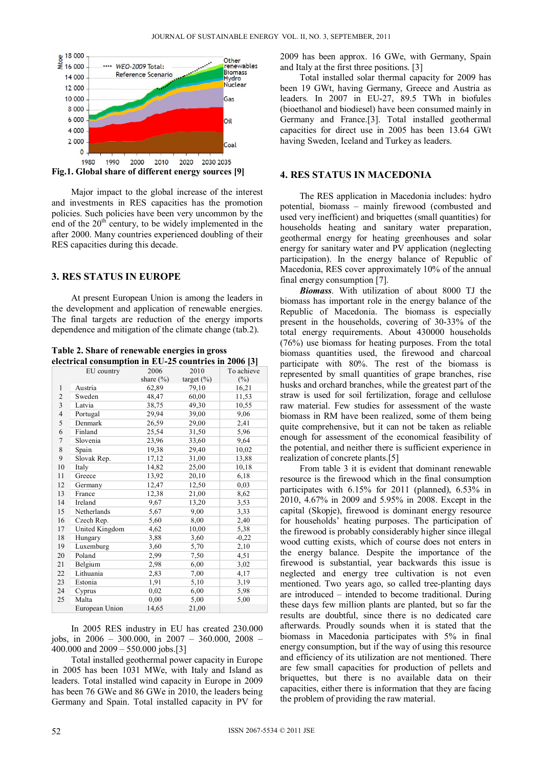

**Fig.1. Global share of different energy sources [9]** 

Major impact to the global increase of the interest and investments in RES capacities has the promotion policies. Such policies have been very uncommon by the end of the  $20<sup>th</sup>$  century, to be widely implemented in the after 2000. Many countries experienced doubling of their RES capacities during this decade.

#### **3. RES STATUS IN EUROPE**

At present European Union is among the leaders in the development and application of renewable energies. The final targets are reduction of the energy imports dependence and mitigation of the climate change (tab.2).

**Table 2. Share of renewable energies in gross electrical consumption in EU-25 countries in 2006 [3]** 

|                | $\frac{1}{2}$  |               |                |            |
|----------------|----------------|---------------|----------------|------------|
|                | EU country     | 2006          | 2010           | To achieve |
|                |                | share $(\% )$ | target $(\% )$ | $(\%)$     |
| 1              | Austria        | 62,89         | 79,10          | 16,21      |
| $\overline{2}$ | Sweden         | 48,47         | 60,00          | 11,53      |
| 3              | Latvia         | 38,75         | 49,30          | 10,55      |
| $\overline{4}$ | Portugal       | 29,94         | 39,00          | 9,06       |
| 5              | Denmark        | 26,59         | 29,00          | 2,41       |
| 6              | Finland        | 25,54         | 31,50          | 5,96       |
| $\overline{7}$ | Slovenia       | 23,96         | 33,60          | 9,64       |
| 8              | Spain          | 19,38         | 29,40          | 10,02      |
| 9              | Slovak Rep.    | 17,12         | 31,00          | 13,88      |
| 10             | Italy          | 14,82         | 25,00          | 10,18      |
| 11             | Greece         | 13,92         | 20,10          | 6,18       |
| 12             | Germany        | 12,47         | 12,50          | 0,03       |
| 13             | France         | 12,38         | 21,00          | 8,62       |
| 14             | Ireland        | 9,67          | 13,20          | 3,53       |
| 15             | Netherlands    | 5,67          | 9,00           | 3,33       |
| 16             | Czech Rep.     | 5,60          | 8,00           | 2,40       |
| 17             | United Kingdom | 4,62          | 10,00          | 5,38       |
| 18             | Hungary        | 3,88          | 3,60           | $-0,22$    |
| 19             | Luxemburg      | 3,60          | 5,70           | 2,10       |
| 20             | Poland         | 2,99          | 7,50           | 4,51       |
| 21             | Belgium        | 2,98          | 6,00           | 3,02       |
| 22             | Lithuania      | 2,83          | 7,00           | 4,17       |
| 23             | Estonia        | 1,91          | 5,10           | 3,19       |
| 24             | Cyprus         | 0,02          | 6,00           | 5,98       |
| 25             | Malta          | 0.00          | 5,00           | 5,00       |
|                | European Union | 14,65         | 21,00          |            |

In 2005 RES industry in EU has created 230.000 jobs, in 2006 – 300.000, in 2007 – 360.000, 2008 – 400.000 and 2009 – 550.000 jobs.[3]

Total installed geothermal power capacity in Europe in 2005 has been 1031 MWe, with Italy and Island as leaders. Total installed wind capacity in Europe in 2009 has been 76 GWe and 86 GWe in 2010, the leaders being Germany and Spain. Total installed capacity in PV for

2009 has been approx. 16 GWe, with Germany, Spain and Italy at the first three positions. [3]

Total installed solar thermal capacity for 2009 has been 19 GWt, having Germany, Greece and Austria as leaders. In 2007 in EU-27, 89.5 TWh in biofules (bioethanol and biodiesel) have been consumed mainly in Germany and France.[3]. Total installed geothermal capacities for direct use in 2005 has been 13.64 GWt having Sweden, Iceland and Turkey as leaders.

#### **4. RES STATUS IN MACEDONIA**

The RES application in Macedonia includes: hydro potential, biomass – mainly firewood (combusted and used very inefficient) and briquettes (small quantities) for households heating and sanitary water preparation, geothermal energy for heating greenhouses and solar energy for sanitary water and PV application (neglecting participation). In the energy balance of Republic of Macedonia, RES cover approximately 10% of the annual final energy consumption [7].

 *Biomass*. With utilization of about 8000 TJ the biomass has important role in the energy balance of the Republic of Macedonia. The biomass is especially present in the households, covering of 30-33% of the total energy requirements. About 430000 households (76%) use biomass for heating purposes. From the total biomass quantities used, the firewood and charcoal participate with 80%. The rest of the biomass is represented by small quantities of grape branches, rise husks and orchard branches, while the greatest part of the straw is used for soil fertilization, forage and cellulose raw material. Few studies for assessment of the waste biomass in RM have been realized, some of them being quite comprehensive, but it can not be taken as reliable enough for assessment of the economical feasibility of the potential, and neither there is sufficient experience in realization of concrete plants.[5]

From table 3 it is evident that dominant renewable resource is the firewood which in the final consumption participates with 6.15% for 2011 (planned), 6.53% in 2010, 4.67% in 2009 and 5.95% in 2008. Except in the capital (Skopje), firewood is dominant energy resource for households' heating purposes. The participation of the firewood is probably considerably higher since illegal wood cutting exists, which of course does not enters in the energy balance. Despite the importance of the firewood is substantial, year backwards this issue is neglected and energy tree cultivation is not even mentioned. Two years ago, so called tree-planting days are introduced – intended to become traditional. During these days few million plants are planted, but so far the results are doubtful, since there is no dedicated care afterwards. Proudly sounds when it is stated that the biomass in Macedonia participates with 5% in final energy consumption, but if the way of using this resource and efficiency of its utilization are not mentioned. There are few small capacities for production of pellets and briquettes, but there is no available data on their capacities, either there is information that they are facing the problem of providing the raw material.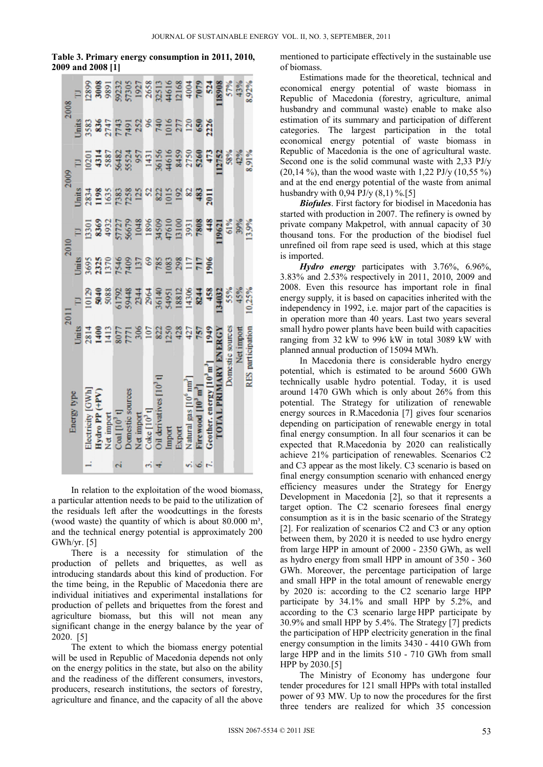#### **Table 3. Primary energy consumption in 2011, 2010, 2009 and 2008 [1]**

|                   |            |                                                                                                                                                                                                                                                                                                                        |                    |                   | 2009 | 2008 |
|-------------------|------------|------------------------------------------------------------------------------------------------------------------------------------------------------------------------------------------------------------------------------------------------------------------------------------------------------------------------|--------------------|-------------------|------|------|
| Energy type       |            |                                                                                                                                                                                                                                                                                                                        |                    |                   |      |      |
| ectricity         |            | $=$ $\frac{8}{5}$ $\frac{8}{5}$ $\frac{8}{5}$ $\frac{8}{5}$ $\frac{4}{3}$ $\frac{4}{5}$ $\frac{8}{5}$ $\frac{6}{5}$ $\frac{3}{5}$ $\frac{4}{5}$ $\frac{3}{5}$ $\frac{6}{5}$ $\frac{3}{5}$ $\frac{6}{5}$ $\frac{3}{5}$ $\frac{6}{5}$ $\frac{3}{5}$ $\frac{6}{5}$ $\frac{3}{5}$ $\frac{6}{5}$ $\frac{3}{5}$ $\frac{6}{5$ | 189323238833111200 | 13388882883958885 |      |      |
| lydro PP          |            |                                                                                                                                                                                                                                                                                                                        |                    |                   |      |      |
| mport             |            |                                                                                                                                                                                                                                                                                                                        |                    |                   |      |      |
|                   |            |                                                                                                                                                                                                                                                                                                                        |                    |                   |      |      |
| <b>Domesti</b>    |            |                                                                                                                                                                                                                                                                                                                        |                    |                   |      |      |
| ।<br>प्र          |            |                                                                                                                                                                                                                                                                                                                        |                    |                   |      |      |
| $\frac{1}{2}$ oke |            |                                                                                                                                                                                                                                                                                                                        |                    |                   |      |      |
|                   |            |                                                                                                                                                                                                                                                                                                                        |                    |                   |      |      |
| Oil der<br>Import |            |                                                                                                                                                                                                                                                                                                                        |                    |                   |      |      |
| ixport            |            |                                                                                                                                                                                                                                                                                                                        |                    |                   |      |      |
| latural           |            |                                                                                                                                                                                                                                                                                                                        |                    |                   |      |      |
|                   |            |                                                                                                                                                                                                                                                                                                                        |                    |                   |      |      |
|                   |            |                                                                                                                                                                                                                                                                                                                        |                    |                   |      |      |
|                   |            |                                                                                                                                                                                                                                                                                                                        |                    |                   |      |      |
| Joinestic sources |            |                                                                                                                                                                                                                                                                                                                        |                    |                   |      |      |
|                   | Net import |                                                                                                                                                                                                                                                                                                                        |                    |                   |      |      |
|                   | mathon     |                                                                                                                                                                                                                                                                                                                        |                    |                   |      |      |

In relation to the exploitation of the wood biomass, a particular attention needs to be paid to the utilization of the residuals left after the woodcuttings in the forests (wood waste) the quantity of which is about  $80.000 \text{ m}^3$ , and the technical energy potential is approximately 200 GWh/yr. [5]

There is a necessity for stimulation of the production of pellets and briquettes, as well as introducing standards about this kind of production. For the time being, in the Republic of Macedonia there are individual initiatives and experimental installations for production of pellets and briquettes from the forest and agriculture biomass, but this will not mean any significant change in the energy balance by the year of 2020. [5]

 The extent to which the biomass energy potential will be used in Republic of Macedonia depends not only on the energy politics in the state, but also on the ability and the readiness of the different consumers, investors, producers, research institutions, the sectors of forestry, agriculture and finance, and the capacity of all the above

mentioned to participate effectively in the sustainable use of biomass.

 Estimations made for the theoretical, technical and economical energy potential of waste biomass in Republic of Macedonia (forestry, agriculture, animal husbandry and communal waste) enable to make also estimation of its summary and participation of different categories. The largest participation in the total economical energy potential of waste biomass in Republic of Macedonia is the one of agricultural waste. Second one is the solid communal waste with 2,33 PJ/y  $(20,14\%)$ , than the wood waste with 1,22 PJ/y  $(10,55\%)$ and at the end energy potential of the waste from animal husbandry with 0,94 PJ/y  $(8,1)$  %.[5]

*Biofules*. First factory for biodisel in Macedonia has started with production in 2007. The refinery is owned by private company Makpetrol, with annual capacity of 30 thousand tons. For the production of the biodisel fuel unrefined oil from rape seed is used, which at this stage is imported.

*Hydro energy* participates with 3.76%, 6.96%, 3.83% and 2.53% respectively in 2011, 2010, 2009 and 2008. Even this resource has important role in final energy supply, it is based on capacities inherited with the independency in 1992, i.e. major part of the capacities is in operation more than 40 years. Last two years several small hydro power plants have been build with capacities ranging from 32 kW to 996 kW in total 3089 kW with planned annual production of 15094 MWh.

 In Macedonia there is considerable hydro energy potential, which is estimated to be around 5600 GWh technically usable hydro potential. Today, it is used around 1470 GWh which is only about 26% from this potential. The Strategy for utilization of renewable energy sources in R.Macedonia [7] gives four scenarios depending on participation of renewable energy in total final energy consumption. In all four scenarios it can be expected that R.Macedonia by 2020 can realistically achieve 21% participation of renewables. Scenarios C2 and C3 appear as the most likely. C3 scenario is based on final energy consumption scenario with enhanced energy efficiency measures under the Strategy for Energy Development in Macedonia [2], so that it represents a target option. The C2 scenario foresees final energy consumption as it is in the basic scenario of the Strategy [2]. For realization of scenarios C2 and C3 or any option between them, by 2020 it is needed to use hydro energy from large HPP in amount of 2000 - 2350 GWh, as well as hydro energy from small HPP in amount of 350 - 360 GWh. Moreover, the percentage participation of large and small HPP in the total amount of renewable energy by 2020 is: according to the C2 scenario large HPP participate by 34.1% and small HPP by 5.2%, and according to the C3 scenario large HPP participate by 30.9% and small HPP by 5.4%. The Strategy [7] predicts the participation of HPP electricity generation in the final energy consumption in the limits 3430 - 4410 GWh from large HPP and in the limits 510 - 710 GWh from small HPP by 2030.[5]

 The Ministry of Economy has undergone four tender procedures for 121 small HPPs with total installed power of 93 MW. Up to now the procedures for the first three tenders are realized for which 35 concession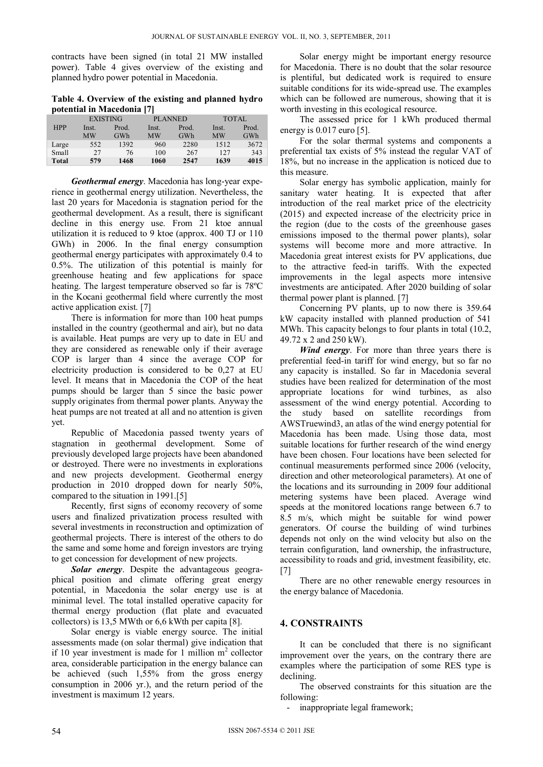contracts have been signed (in total 21 MW installed power). Table 4 gives overview of the existing and planned hydro power potential in Macedonia.

**Table 4. Overview of the existing and planned hydro potential in Macedonia [7]** 

|              | <b>EXISTING</b> |       | <b>PLANNED</b> |       | <b>TOTAL</b> |       |
|--------------|-----------------|-------|----------------|-------|--------------|-------|
| <b>HPP</b>   | Inst.           | Prod. | Inst.          | Prod. | Inst.        | Prod. |
|              | <b>MW</b>       | GWh   | MW             | GWh   | <b>MW</b>    | GWh   |
| Large        | 552             | 1392  | 960            | 2280  | 1512         | 3672  |
| Small        | 27              | 76    | 100            | 267   | 127          | 343   |
| <b>Total</b> | 579             | 1468  | 1060           | 2547  | 1639         | 4015  |

*Geothermal energy*. Macedonia has long-year experience in geothermal energy utilization. Nevertheless, the last 20 years for Macedonia is stagnation period for the geothermal development. As a result, there is significant decline in this energy use. From 21 ktoe annual utilization it is reduced to 9 ktoe (approx. 400 TJ or 110 GWh) in 2006. In the final energy consumption geothermal energy participates with approximately 0.4 to 0.5%. The utilization of this potential is mainly for greenhouse heating and few applications for space heating. The largest temperature observed so far is 78ºС in the Kocani geothermal field where currently the most active application exist. [7]

There is information for more than 100 heat pumps installed in the country (geothermal and air), but no data is available. Heat pumps are very up to date in EU and they are considered as renewable only if their average COP is larger than 4 since the average COP for electricity production is considered to be 0,27 at EU level. It means that in Macedonia the COP of the heat pumps should be larger than 5 since the basic power supply originates from thermal power plants. Anyway the heat pumps are not treated at all and no attention is given yet.

 Republic of Macedonia passed twenty years of stagnation in geothermal development. Some of previously developed large projects have been abandoned or destroyed. There were no investments in explorations and new projects development. Geothermal energy production in 2010 dropped down for nearly 50%, compared to the situation in 1991.[5]

 Recently, first signs of economy recovery of some users and finalized privatization process resulted with several investments in reconstruction and optimization of geothermal projects. There is interest of the others to do the same and some home and foreign investors are trying to get concession for development of new projects.

*Solar energy*. Despite the advantageous geographical position and climate offering great energy potential, in Macedonia the solar energy use is at minimal level. The total installed operative capacity for thermal energy production (flat plate and evacuated collectors) is 13,5 MWth or 6,6 kWth per capita [8].

Solar energy is viable energy source. The initial assessments made (on solar thermal) give indication that if 10 year investment is made for 1 million  $m<sup>2</sup>$  collector area, considerable participation in the energy balance can be achieved (such 1,55% from the gross energy consumption in 2006 yr.), and the return period of the investment is maximum 12 years.

Solar energy might be important energy resource for Macedonia. There is no doubt that the solar resource is plentiful, but dedicated work is required to ensure suitable conditions for its wide-spread use. The examples which can be followed are numerous, showing that it is worth investing in this ecological resource.

 The assessed price for 1 kWh produced thermal energy is 0.017 euro [5].

For the solar thermal systems and components a preferential tax exists of 5% instead the regular VAT of 18%, but no increase in the application is noticed due to this measure.

 Solar energy has symbolic application, mainly for sanitary water heating. It is expected that after introduction of the real market price of the electricity (2015) and expected increase of the electricity price in the region (due to the costs of the greenhouse gases emissions imposed to the thermal power plants), solar systems will become more and more attractive. In Macedonia great interest exists for PV applications, due to the attractive feed-in tariffs. With the expected improvements in the legal aspects more intensive investments are anticipated. After 2020 building of solar thermal power plant is planned. [7]

Concerning PV plants, up to now there is 359.64 kW capacity installed with planned production of 541 MWh. This capacity belongs to four plants in total (10.2, 49.72 x 2 and 250 kW).

*Wind energy*. For more than three years there is preferential feed-in tariff for wind energy, but so far no any capacity is installed. So far in Macedonia several studies have been realized for determination of the most appropriate locations for wind turbines, as also assessment of the wind energy potential. According to the study based on satellite recordings from AWSTruewind3, an atlas of the wind energy potential for Macedonia has been made. Using those data, most suitable locations for further research of the wind energy have been chosen. Four locations have been selected for continual measurements performed since 2006 (velocity, direction and other meteorological parameters). At one of the locations and its surrounding in 2009 four additional metering systems have been placed. Average wind speeds at the monitored locations range between 6.7 to 8.5 m/s, which might be suitable for wind power generators. Of course the building of wind turbines depends not only on the wind velocity but also on the terrain configuration, land ownership, the infrastructure, accessibility to roads and grid, investment feasibility, etc. [7]

There are no other renewable energy resources in the energy balance of Macedonia.

## **4. CONSTRAINTS**

 It can be concluded that there is no significant improvement over the years, on the contrary there are examples where the participation of some RES type is declining.

 The observed constraints for this situation are the following:

- inappropriate legal framework;